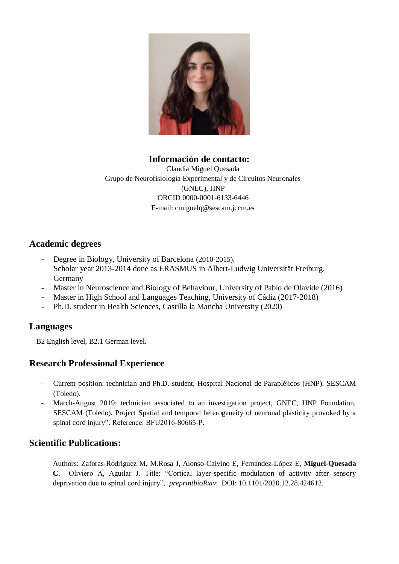

### **Información de contacto:**

Claudia Miguel Quesada Grupo de Neurofisiología Experimental y de Circuitos Neuronales (GNEC), HNP ORCID 0000-0001-6133-6446 E-mail: cmiguelq@sescam.jccm.es

## **Academic degrees**

- Degree in Biology, University of Barcelona (2010-2015). Scholar year 2013-2014 done as ERASMUS in Albert-Ludwig Universität Freiburg, Germany
- Master in Neuroscience and Biology of Behaviour, University of Pablo de Olavide (2016)
- Master in High School and Languages Teaching, University of Cádiz (2017-2018)
- Ph.D. student in Health Sciences, Castilla la Mancha University (2020)

### **Languages**

B2 English level, B2.1 German level.

# **Research Professional Experience**

- Current position: technician and Ph.D. student, Hospital Nacional de Parapléjicos (HNP). SESCAM (Toledo).
- March-August 2019: technician associated to an investigation project, GNEC, HNP Foundation, SESCAM (Toledo). Project Spatial and temporal heterogeneity of neuronal plasticity provoked by a spinal cord injury". Reference: BFU2016-80665-P.

### **Scientific Publications:**

Authors: Zaforas-Rodriguez M, M.Rosa J, Alonso-Calvino E, Fernández-López E, **Miguel-Quesada C**, Oliviero A, Aguilar J. Title: "Cortical layer-specific modulation of activity after sensory deprivation due to spinal cord injury", *preprintbioRxiv*: DOI: 10.1101/2020.12.28.424612.